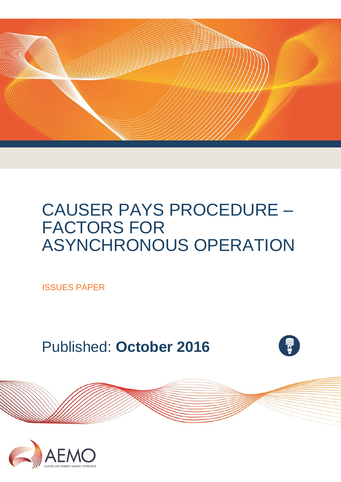

# CAUSER PAYS PROCEDURE – FACTORS FOR ASYNCHRONOUS OPERATION

ISSUES PAPER

Published: **October 2016**



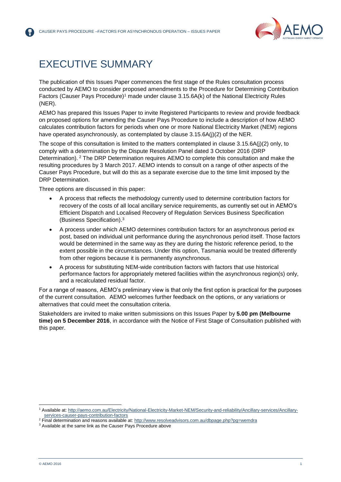

### <span id="page-1-0"></span>EXECUTIVE SUMMARY

The publication of this Issues Paper commences the first stage of the Rules consultation process conducted by AEMO to consider proposed amendments to the Procedure for Determining Contribution Factors (Causer Pays Procedure)<sup>1</sup> made under clause 3.15.6A(k) of the National Electricity Rules (NER).

AEMO has prepared this Issues Paper to invite Registered Participants to review and provide feedback on proposed options for amending the Causer Pays Procedure to include a description of how AEMO calculates contribution factors for periods when one or more National Electricity Market (NEM) regions have operated asynchronously, as contemplated by clause 3.15.6A(j)(2) of the NER.

The scope of this consultation is limited to the matters contemplated in clause 3.15.6A(j)(2) only, to comply with a determination by the Dispute Resolution Panel dated 3 October 2016 (DRP Determination). <sup>2</sup> The DRP Determination requires AEMO to complete this consultation and make the resulting procedures by 3 March 2017. AEMO intends to consult on a range of other aspects of the Causer Pays Procedure, but will do this as a separate exercise due to the time limit imposed by the DRP Determination.

Three options are discussed in this paper:

- A process that reflects the methodology currently used to determine contribution factors for recovery of the costs of all local ancillary service requirements, as currently set out in AEMO's Efficient Dispatch and Localised Recovery of Regulation Services Business Specification (Business Specification). 3
- A process under which AEMO determines contribution factors for an asynchronous period ex post, based on individual unit performance during the asynchronous period itself. Those factors would be determined in the same way as they are during the historic reference period, to the extent possible in the circumstances. Under this option, Tasmania would be treated differently from other regions because it is permanently asynchronous.
- A process for substituting NEM-wide contribution factors with factors that use historical performance factors for appropriately metered facilities within the asynchronous region(s) only, and a recalculated residual factor.

For a range of reasons, AEMO's preliminary view is that only the first option is practical for the purposes of the current consultation. AEMO welcomes further feedback on the options, or any variations or alternatives that could meet the consultation criteria.

Stakeholders are invited to make written submissions on this Issues Paper by **5.00 pm (Melbourne time) on 5 December 2016**, in accordance with the Notice of First Stage of Consultation published with this paper.

l

<sup>1</sup> Available at: [http://aemo.com.au/Electricity/National-Electricity-Market-NEM/Security-and-reliability/Ancillary-services/Ancillary](http://aemo.com.au/Electricity/National-Electricity-Market-NEM/Security-and-reliability/Ancillary-services/Ancillary-services-causer-pays-contribution-factors)[services-causer-pays-contribution-factors](http://aemo.com.au/Electricity/National-Electricity-Market-NEM/Security-and-reliability/Ancillary-services/Ancillary-services-causer-pays-contribution-factors)

<sup>&</sup>lt;sup>2</sup> Final determination and reasons available at[: http://www.resolveadvisors.com.au/dbpage.php?pg=wemdra](http://www.resolveadvisors.com.au/dbpage.php?pg=wemdra)

<sup>&</sup>lt;sup>3</sup> Available at the same link as the Causer Pays Procedure above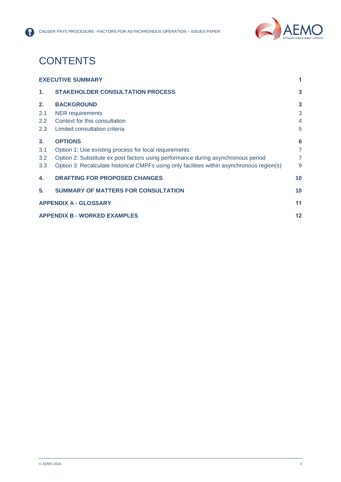

## **CONTENTS**

8

|                | <b>EXECUTIVE SUMMARY</b>                                                                   | 1              |
|----------------|--------------------------------------------------------------------------------------------|----------------|
| $\mathbf{1}$ . | <b>STAKEHOLDER CONSULTATION PROCESS</b>                                                    | $\mathbf{3}$   |
| 2.             | <b>BACKGROUND</b>                                                                          | 3              |
| 2.1            | <b>NER</b> requirements                                                                    | 3              |
| $2.2^{\circ}$  | Context for this consultation                                                              | $\overline{4}$ |
| 2.3            | Limited consultation criteria                                                              | 5              |
| 3.             | <b>OPTIONS</b>                                                                             | 6              |
| 3.1            | Option 1: Use existing process for local requirements                                      | $\overline{7}$ |
| 3.2            | Option 2: Substitute ex post factors using performance during asynchronous period          | $\overline{7}$ |
| 3.3            | Option 3: Recalculate historical CMPFs using only facilities within asynchronous region(s) | 9              |
| 4.             | <b>DRAFTING FOR PROPOSED CHANGES</b>                                                       | 10             |
| 5.             | <b>SUMMARY OF MATTERS FOR CONSULTATION</b>                                                 | 10             |
|                | <b>APPENDIX A - GLOSSARY</b>                                                               | 11             |
|                | <b>APPENDIX B - WORKED EXAMPLES</b>                                                        | 12             |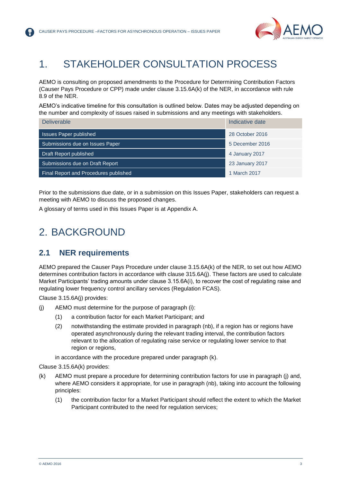

### <span id="page-3-0"></span>1. STAKEHOLDER CONSULTATION PROCESS

AEMO is consulting on proposed amendments to the Procedure for Determining Contribution Factors (Causer Pays Procedure or CPP) made under clause 3.15.6A(k) of the NER, in accordance with rule 8.9 of the NER.

AEMO's indicative timeline for this consultation is outlined below. Dates may be adjusted depending on the number and complexity of issues raised in submissions and any meetings with stakeholders.

| <b>Deliverable</b>                    | Indicative date |
|---------------------------------------|-----------------|
| <b>Issues Paper published</b>         | 28 October 2016 |
| Submissions due on Issues Paper       | 5 December 2016 |
| Draft Report published                | 4 January 2017  |
| Submissions due on Draft Report       | 23 January 2017 |
| Final Report and Procedures published | 1 March 2017    |

Prior to the submissions due date, or in a submission on this Issues Paper, stakeholders can request a meeting with AEMO to discuss the proposed changes.

<span id="page-3-1"></span>A glossary of terms used in this Issues Paper is at Appendix A.

### 2. BACKGROUND

#### <span id="page-3-2"></span>**2.1 NER requirements**

AEMO prepared the Causer Pays Procedure under clause 3.15.6A(k) of the NER, to set out how AEMO determines contribution factors in accordance with clause 315.6A(j). These factors are used to calculate Market Participants' trading amounts under clause 3.15.6A(i), to recover the cost of regulating raise and regulating lower frequency control ancillary services (Regulation FCAS).

Clause 3.15.6A(j) provides:

- (j) AEMO must determine for the purpose of paragraph (i):
	- (1) a contribution factor for each Market Participant; and
	- (2) notwithstanding the estimate provided in paragraph (nb), if a region has or regions have operated asynchronously during the relevant trading interval, the contribution factors relevant to the allocation of regulating raise service or regulating lower service to that region or regions,

in accordance with the procedure prepared under paragraph (k).

Clause 3.15.6A(k) provides:

- (k) AEMO must prepare a procedure for determining contribution factors for use in paragraph (j) and, where AEMO considers it appropriate, for use in paragraph (nb), taking into account the following principles:
	- (1) the contribution factor for a Market Participant should reflect the extent to which the Market Participant contributed to the need for regulation services;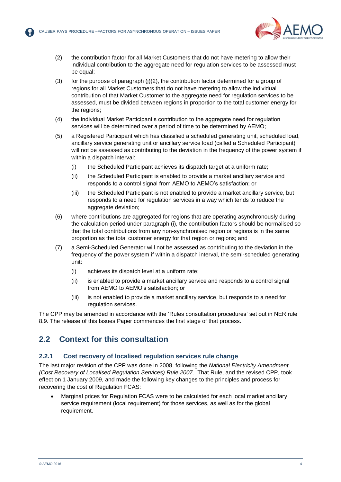

- (2) the contribution factor for all Market Customers that do not have metering to allow their individual contribution to the aggregate need for regulation services to be assessed must be equal;
- (3) for the purpose of paragraph (j)(2), the contribution factor determined for a group of regions for all Market Customers that do not have metering to allow the individual contribution of that Market Customer to the aggregate need for regulation services to be assessed, must be divided between regions in proportion to the total customer energy for the regions;
- (4) the individual Market Participant's contribution to the aggregate need for regulation services will be determined over a period of time to be determined by AEMO;
- (5) a Registered Participant which has classified a scheduled generating unit, scheduled load, ancillary service generating unit or ancillary service load (called a Scheduled Participant) will not be assessed as contributing to the deviation in the frequency of the power system if within a dispatch interval:
	- (i) the Scheduled Participant achieves its dispatch target at a uniform rate;
	- (ii) the Scheduled Participant is enabled to provide a market ancillary service and responds to a control signal from AEMO to AEMO's satisfaction; or
	- (iii) the Scheduled Participant is not enabled to provide a market ancillary service, but responds to a need for regulation services in a way which tends to reduce the aggregate deviation;
- (6) where contributions are aggregated for regions that are operating asynchronously during the calculation period under paragraph (i), the contribution factors should be normalised so that the total contributions from any non-synchronised region or regions is in the same proportion as the total customer energy for that region or regions; and
- (7) a Semi-Scheduled Generator will not be assessed as contributing to the deviation in the frequency of the power system if within a dispatch interval, the semi-scheduled generating unit:
	- (i) achieves its dispatch level at a uniform rate;
	- (ii) is enabled to provide a market ancillary service and responds to a control signal from AEMO to AEMO's satisfaction; or
	- (iii) is not enabled to provide a market ancillary service, but responds to a need for regulation services.

The CPP may be amended in accordance with the 'Rules consultation procedures' set out in NER rule 8.9. The release of this Issues Paper commences the first stage of that process.

#### <span id="page-4-0"></span>**2.2 Context for this consultation**

#### **2.2.1 Cost recovery of localised regulation services rule change**

The last major revision of the CPP was done in 2008, following the *National Electricity Amendment (Cost Recovery of Localised Regulation Services) Rule 2007*. That Rule, and the revised CPP, took effect on 1 January 2009, and made the following key changes to the principles and process for recovering the cost of Regulation FCAS:

 Marginal prices for Regulation FCAS were to be calculated for each local market ancillary service requirement (local requirement) for those services, as well as for the global requirement.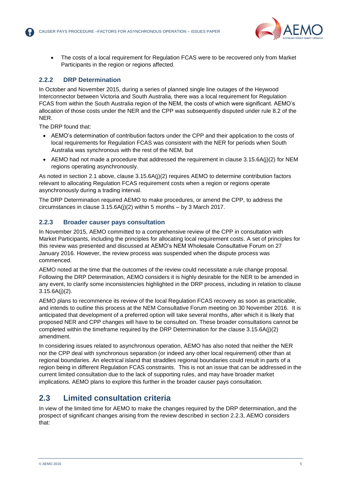

 The costs of a local requirement for Regulation FCAS were to be recovered only from Market Participants in the region or regions affected.

#### **2.2.2 DRP Determination**

In October and November 2015, during a series of planned single line outages of the Heywood Interconnector between Victoria and South Australia, there was a local requirement for Regulation FCAS from within the South Australia region of the NEM, the costs of which were significant. AEMO's allocation of those costs under the NER and the CPP was subsequently disputed under rule 8.2 of the NER.

The DRP found that:

- AEMO's determination of contribution factors under the CPP and their application to the costs of local requirements for Regulation FCAS was consistent with the NER for periods when South Australia was synchronous with the rest of the NEM, but
- AEMO had not made a procedure that addressed the requirement in clause 3.15.6A(j)(2) for NEM regions operating asynchronously.

As noted in section [2.1](#page-3-2) above, clause 3.15.6A(j)(2) requires AEMO to determine contribution factors relevant to allocating Regulation FCAS requirement costs when a region or regions operate asynchronously during a trading interval.

The DRP Determination required AEMO to make procedures, or amend the CPP, to address the circumstances in clause 3.15.6A(j)(2) within 5 months – by 3 March 2017.

#### <span id="page-5-1"></span>**2.2.3 Broader causer pays consultation**

In November 2015, AEMO committed to a comprehensive review of the CPP in consultation with Market Participants, including the principles for allocating local requirement costs. A set of principles for this review was presented and discussed at AEMO's NEM Wholesale Consultative Forum on 27 January 2016. However, the review process was suspended when the dispute process was commenced.

AEMO noted at the time that the outcomes of the review could necessitate a rule change proposal. Following the DRP Determination, AEMO considers it is highly desirable for the NER to be amended in any event, to clarify some inconsistencies highlighted in the DRP process, including in relation to clause 3.15.6A(j)(2).

AEMO plans to recommence its review of the local Regulation FCAS recovery as soon as practicable, and intends to outline this process at the NEM Consultative Forum meeting on 30 November 2016. It is anticipated that development of a preferred option will take several months, after which it is likely that proposed NER and CPP changes will have to be consulted on. These broader consultations cannot be completed within the timeframe required by the DRP Determination for the clause 3.15.6A(j)(2) amendment.

In considering issues related to asynchronous operation, AEMO has also noted that neither the NER nor the CPP deal with synchronous separation (or indeed any other local requirement) other than at regional boundaries. An electrical island that straddles regional boundaries could result in parts of a region being in different Regulation FCAS constraints. This is not an issue that can be addressed in the current limited consultation due to the lack of supporting rules, and may have broader market implications. AEMO plans to explore this further in the broader causer pays consultation.

### <span id="page-5-0"></span>**2.3 Limited consultation criteria**

In view of the limited time for AEMO to make the changes required by the DRP determination, and the prospect of significant changes arising from the review described in section [2.2.3,](#page-5-1) AEMO considers that: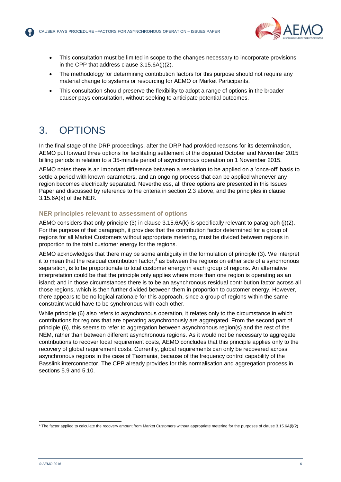

- This consultation must be limited in scope to the changes necessary to incorporate provisions in the CPP that address clause 3.15.6A(j)(2).
- The methodology for determining contribution factors for this purpose should not require any material change to systems or resourcing for AEMO or Market Participants.
- This consultation should preserve the flexibility to adopt a range of options in the broader causer pays consultation, without seeking to anticipate potential outcomes.

### <span id="page-6-0"></span>3. OPTIONS

In the final stage of the DRP proceedings, after the DRP had provided reasons for its determination, AEMO put forward three options for facilitating settlement of the disputed October and November 2015 billing periods in relation to a 35-minute period of asynchronous operation on 1 November 2015.

AEMO notes there is an important difference between a resolution to be applied on a 'once-off' basis to settle a period with known parameters, and an ongoing process that can be applied whenever any region becomes electrically separated. Nevertheless, all three options are presented in this Issues Paper and discussed by reference to the criteria in section [2.3](#page-5-0) above, and the principles in clause 3.15.6A(k) of the NER.

#### **NER principles relevant to assessment of options**

AEMO considers that only principle (3) in clause 3.15.6A(k) is specifically relevant to paragraph (j)(2). For the purpose of that paragraph, it provides that the contribution factor determined for a group of regions for all Market Customers without appropriate metering, must be divided between regions in proportion to the total customer energy for the regions.

AEMO acknowledges that there may be some ambiguity in the formulation of principle (3). We interpret it to mean that the residual contribution factor, <sup>4</sup> as between the regions on either side of a synchronous separation, is to be proportionate to total customer energy in each group of regions. An alternative interpretation could be that the principle only applies where more than one region is operating as an island; and in those circumstances there is to be an asynchronous residual contribution factor across all those regions, which is then further divided between them in proportion to customer energy. However, there appears to be no logical rationale for this approach, since a group of regions within the same constraint would have to be synchronous with each other.

While principle (6) also refers to asynchronous operation, it relates only to the circumstance in which contributions for regions that are operating asynchronously are aggregated. From the second part of principle (6), this seems to refer to aggregation between asynchronous region(s) and the rest of the NEM, rather than between different asynchronous regions. As it would not be necessary to aggregate contributions to recover local requirement costs, AEMO concludes that this principle applies only to the recovery of global requirement costs. Currently, global requirements can only be recovered across asynchronous regions in the case of Tasmania, because of the frequency control capability of the Basslink interconnector. The CPP already provides for this normalisation and aggregation process in sections 5.9 and 5.10.

l <sup>4</sup> The factor applied to calculate the recovery amount from Market Customers without appropriate metering for the purposes of clause 3.15.6A(i)(2)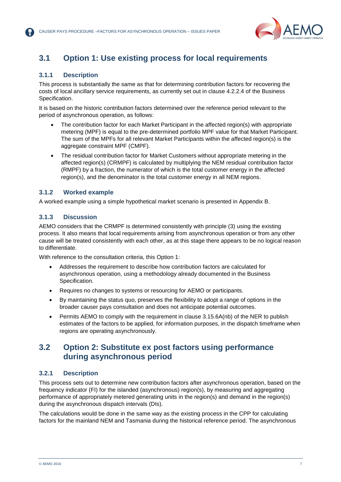

### <span id="page-7-0"></span>**3.1 Option 1: Use existing process for local requirements**

#### **3.1.1 Description**

This process is substantially the same as that for determining contribution factors for recovering the costs of local ancillary service requirements, as currently set out in clause 4.2.2.4 of the Business Specification.

It is based on the historic contribution factors determined over the reference period relevant to the period of asynchronous operation, as follows:

- The contribution factor for each Market Participant in the affected region(s) with appropriate metering (MPF) is equal to the pre-determined portfolio MPF value for that Market Participant. The sum of the MPFs for all relevant Market Participants within the affected region(s) is the aggregate constraint MPF (CMPF).
- The residual contribution factor for Market Customers without appropriate metering in the affected region(s) (CRMPF) is calculated by multiplying the NEM residual contribution factor (RMPF) by a fraction, the numerator of which is the total customer energy in the affected region(s), and the denominator is the total customer energy in all NEM regions.

#### **3.1.2 Worked example**

A worked example using a simple hypothetical market scenario is presented in Appendix B.

#### **3.1.3 Discussion**

AEMO considers that the CRMPF is determined consistently with principle (3) using the existing process. It also means that local requirements arising from asynchronous operation or from any other cause will be treated consistently with each other, as at this stage there appears to be no logical reason to differentiate.

With reference to the consultation criteria, this Option 1:

- Addresses the requirement to describe how contribution factors are calculated for asynchronous operation, using a methodology already documented in the Business Specification.
- Requires no changes to systems or resourcing for AEMO or participants.
- By maintaining the status quo, preserves the flexibility to adopt a range of options in the broader causer pays consultation and does not anticipate potential outcomes.
- Permits AEMO to comply with the requirement in clause 3.15.6A(nb) of the NER to publish estimates of the factors to be applied, for information purposes, in the dispatch timeframe when regions are operating asynchronously.

#### <span id="page-7-1"></span>**3.2 Option 2: Substitute ex post factors using performance during asynchronous period**

#### **3.2.1 Description**

This process sets out to determine new contribution factors after asynchronous operation, based on the frequency indicator (FI) for the islanded (asynchronous) region(s), by measuring and aggregating performance of appropriately metered generating units in the region(s) and demand in the region(s) during the asynchronous dispatch intervals (DIs).

The calculations would be done in the same way as the existing process in the CPP for calculating factors for the mainland NEM and Tasmania during the historical reference period. The asynchronous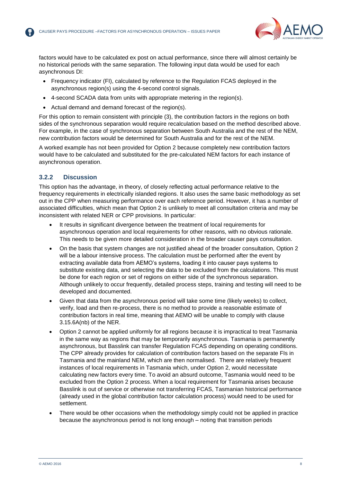

factors would have to be calculated ex post on actual performance, since there will almost certainly be no historical periods with the same separation. The following input data would be used for each asynchronous DI:

- Frequency indicator (FI), calculated by reference to the Regulation FCAS deployed in the asynchronous region(s) using the 4-second control signals.
- 4-second SCADA data from units with appropriate metering in the region(s).
- Actual demand and demand forecast of the region(s).

For this option to remain consistent with principle (3), the contribution factors in the regions on both sides of the synchronous separation would require recalculation based on the method described above. For example, in the case of synchronous separation between South Australia and the rest of the NEM, new contribution factors would be determined for South Australia and for the rest of the NEM.

A worked example has not been provided for Option 2 because completely new contribution factors would have to be calculated and substituted for the pre-calculated NEM factors for each instance of asynchronous operation.

#### **3.2.2 Discussion**

This option has the advantage, in theory, of closely reflecting actual performance relative to the frequency requirements in electrically islanded regions. It also uses the same basic methodology as set out in the CPP when measuring performance over each reference period. However, it has a number of associated difficulties, which mean that Option 2 is unlikely to meet all consultation criteria and may be inconsistent with related NER or CPP provisions. In particular:

- It results in significant divergence between the treatment of local requirements for asynchronous operation and local requirements for other reasons, with no obvious rationale. This needs to be given more detailed consideration in the broader causer pays consultation.
- On the basis that system changes are not justified ahead of the broader consultation, Option 2 will be a labour intensive process. The calculation must be performed after the event by extracting available data from AEMO's systems, loading it into causer pays systems to substitute existing data, and selecting the data to be excluded from the calculations. This must be done for each region or set of regions on either side of the synchronous separation. Although unlikely to occur frequently, detailed process steps, training and testing will need to be developed and documented.
- Given that data from the asynchronous period will take some time (likely weeks) to collect, verify, load and then re-process, there is no method to provide a reasonable estimate of contribution factors in real time, meaning that AEMO will be unable to comply with clause 3.15.6A(nb) of the NER.
- Option 2 cannot be applied uniformly for all regions because it is impractical to treat Tasmania in the same way as regions that may be temporarily asynchronous. Tasmania is permanently asynchronous, but Basslink can transfer Regulation FCAS depending on operating conditions. The CPP already provides for calculation of contribution factors based on the separate FIs in Tasmania and the mainland NEM, which are then normalised. There are relatively frequent instances of local requirements in Tasmania which, under Option 2, would necessitate calculating new factors every time. To avoid an absurd outcome, Tasmania would need to be excluded from the Option 2 process. When a local requirement for Tasmania arises because Basslink is out of service or otherwise not transferring FCAS, Tasmanian historical performance (already used in the global contribution factor calculation process) would need to be used for settlement.
- There would be other occasions when the methodology simply could not be applied in practice because the asynchronous period is not long enough – noting that transition periods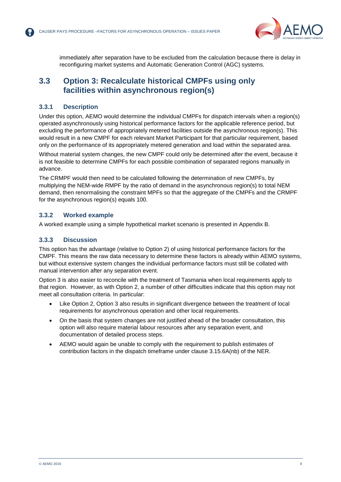

immediately after separation have to be excluded from the calculation because there is delay in reconfiguring market systems and Automatic Generation Control (AGC) systems.

#### <span id="page-9-0"></span>**3.3 Option 3: Recalculate historical CMPFs using only facilities within asynchronous region(s)**

#### **3.3.1 Description**

Under this option, AEMO would determine the individual CMPFs for dispatch intervals when a region(s) operated asynchronously using historical performance factors for the applicable reference period, but excluding the performance of appropriately metered facilities outside the asynchronous region(s). This would result in a new CMPF for each relevant Market Participant for that particular requirement, based only on the performance of its appropriately metered generation and load within the separated area.

Without material system changes, the new CMPF could only be determined after the event, because it is not feasible to determine CMPFs for each possible combination of separated regions manually in advance.

The CRMPF would then need to be calculated following the determination of new CMPFs, by multiplying the NEM-wide RMPF by the ratio of demand in the asynchronous region(s) to total NEM demand, then renormalising the constraint MPFs so that the aggregate of the CMPFs and the CRMPF for the asynchronous region(s) equals 100.

#### **3.3.2 Worked example**

A worked example using a simple hypothetical market scenario is presented in Appendix B.

#### **3.3.3 Discussion**

This option has the advantage (relative to Option 2) of using historical performance factors for the CMPF. This means the raw data necessary to determine these factors is already within AEMO systems, but without extensive system changes the individual performance factors must still be collated with manual intervention after any separation event.

Option 3 is also easier to reconcile with the treatment of Tasmania when local requirements apply to that region. However, as with Option 2, a number of other difficulties indicate that this option may not meet all consultation criteria. In particular:

- Like Option 2, Option 3 also results in significant divergence between the treatment of local requirements for asynchronous operation and other local requirements.
- On the basis that system changes are not justified ahead of the broader consultation, this option will also require material labour resources after any separation event, and documentation of detailed process steps.
- AEMO would again be unable to comply with the requirement to publish estimates of contribution factors in the dispatch timeframe under clause 3.15.6A(nb) of the NER.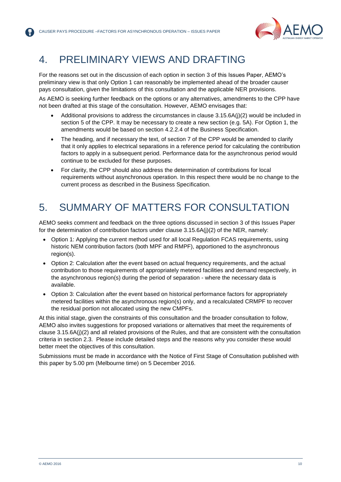

### <span id="page-10-0"></span>4. PRELIMINARY VIEWS AND DRAFTING

For the reasons set out in the discussion of each option in section [3](#page-6-0) of this Issues Paper, AEMO's preliminary view is that only Option 1 can reasonably be implemented ahead of the broader causer pays consultation, given the limitations of this consultation and the applicable NER provisions.

As AEMO is seeking further feedback on the options or any alternatives, amendments to the CPP have not been drafted at this stage of the consultation. However, AEMO envisages that:

- Additional provisions to address the circumstances in clause 3.15.6A(j)(2) would be included in section 5 of the CPP. It may be necessary to create a new section (e.g. 5A). For Option 1, the amendments would be based on section 4.2.2.4 of the Business Specification.
- The heading, and if necessary the text, of section 7 of the CPP would be amended to clarify that it only applies to electrical separations in a reference period for calculating the contribution factors to apply in a subsequent period. Performance data for the asynchronous period would continue to be excluded for these purposes.
- For clarity, the CPP should also address the determination of contributions for local requirements without asynchronous operation. In this respect there would be no change to the current process as described in the Business Specification.

### <span id="page-10-1"></span>5. SUMMARY OF MATTERS FOR CONSULTATION

AEMO seeks comment and feedback on the three options discussed in section 3 of this Issues Paper for the determination of contribution factors under clause 3.15.6A(j)(2) of the NER, namely:

- Option 1: Applying the current method used for all local Regulation FCAS requirements, using historic NEM contribution factors (both MPF and RMPF), apportioned to the asynchronous region(s).
- Option 2: Calculation after the event based on actual frequency requirements, and the actual contribution to those requirements of appropriately metered facilities and demand respectively, in the asynchronous region(s) during the period of separation - where the necessary data is available.
- Option 3: Calculation after the event based on historical performance factors for appropriately metered facilities within the asynchronous region(s) only, and a recalculated CRMPF to recover the residual portion not allocated using the new CMPFs.

At this initial stage, given the constraints of this consultation and the broader consultation to follow, AEMO also invites suggestions for proposed variations or alternatives that meet the requirements of clause 3.15.6A(j)(2) and all related provisions of the Rules, and that are consistent with the consultation criteria in section [2.3.](#page-5-0) Please include detailed steps and the reasons why you consider these would better meet the objectives of this consultation.

Submissions must be made in accordance with the Notice of First Stage of Consultation published with this paper by 5.00 pm (Melbourne time) on 5 December 2016.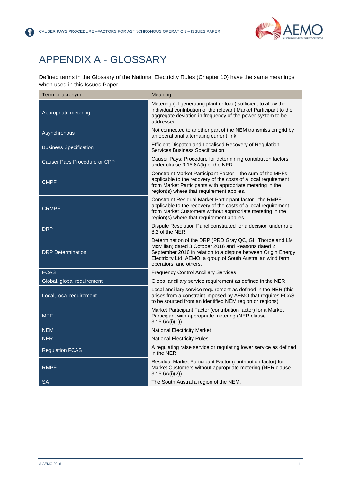

### <span id="page-11-0"></span>APPENDIX A - GLOSSARY

(?

Defined terms in the Glossary of the National Electricity Rules (Chapter 10) have the same meanings when used in this Issues Paper.

| Term or acronym               | Meaning                                                                                                                                                                                                                                                                  |
|-------------------------------|--------------------------------------------------------------------------------------------------------------------------------------------------------------------------------------------------------------------------------------------------------------------------|
| Appropriate metering          | Metering (of generating plant or load) sufficient to allow the<br>individual contribution of the relevant Market Participant to the<br>aggregate deviation in frequency of the power system to be<br>addressed.                                                          |
| Asynchronous                  | Not connected to another part of the NEM transmission grid by<br>an operational alternating current link.                                                                                                                                                                |
| <b>Business Specification</b> | Efficient Dispatch and Localised Recovery of Regulation<br>Services Business Specification.                                                                                                                                                                              |
| Causer Pays Procedure or CPP  | Causer Pays: Procedure for determining contribution factors<br>under clause 3.15.6A(k) of the NER.                                                                                                                                                                       |
| <b>CMPF</b>                   | Constraint Market Participant Factor - the sum of the MPFs<br>applicable to the recovery of the costs of a local requirement<br>from Market Participants with appropriate metering in the<br>region(s) where that requirement applies.                                   |
| <b>CRMPF</b>                  | Constraint Residual Market Participant factor - the RMPF<br>applicable to the recovery of the costs of a local requirement<br>from Market Customers without appropriate metering in the<br>region(s) where that requirement applies.                                     |
| <b>DRP</b>                    | Dispute Resolution Panel constituted for a decision under rule<br>8.2 of the NER.                                                                                                                                                                                        |
| <b>DRP</b> Determination      | Determination of the DRP (PRD Gray QC, GH Thorpe and LM<br>McMillan) dated 3 October 2016 and Reasons dated 2<br>September 2016 in relation to a dispute between Origin Energy<br>Electricity Ltd, AEMO, a group of South Australian wind farm<br>operators, and others. |
| <b>FCAS</b>                   | <b>Frequency Control Ancillary Services</b>                                                                                                                                                                                                                              |
| Global, global requirement    | Global ancillary service requirement as defined in the NER                                                                                                                                                                                                               |
| Local, local requirement      | Local ancillary service requirement as defined in the NER (this<br>arises from a constraint imposed by AEMO that requires FCAS<br>to be sourced from an identified NEM region or regions)                                                                                |
| <b>MPF</b>                    | Market Participant Factor (contribution factor) for a Market<br>Participant with appropriate metering (NER clause<br>$3.15.6A(i)(1)$ .                                                                                                                                   |
| <b>NEM</b>                    | <b>National Electricity Market</b>                                                                                                                                                                                                                                       |
| <b>NER</b>                    | <b>National Electricity Rules</b>                                                                                                                                                                                                                                        |
| <b>Regulation FCAS</b>        | A regulating raise service or regulating lower service as defined<br>in the NER                                                                                                                                                                                          |
| <b>RMPF</b>                   | Residual Market Participant Factor (contribution factor) for<br>Market Customers without appropriate metering (NER clause<br>$3.15.6A(i)(2)$ ).                                                                                                                          |
| SA                            | The South Australia region of the NEM.                                                                                                                                                                                                                                   |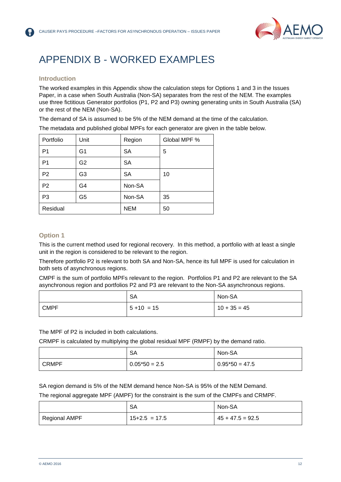

### <span id="page-12-0"></span>APPENDIX B - WORKED EXAMPLES

#### **Introduction**

The worked examples in this Appendix show the calculation steps for Options 1 and 3 in the Issues Paper, in a case when South Australia (Non-SA) separates from the rest of the NEM. The examples use three fictitious Generator portfolios (P1, P2 and P3) owning generating units in South Australia (SA) or the rest of the NEM (Non-SA).

The demand of SA is assumed to be 5% of the NEM demand at the time of the calculation.

The metadata and published global MPFs for each generator are given in the table below.

| Portfolio      | Unit           | Region     | Global MPF % |
|----------------|----------------|------------|--------------|
| P <sub>1</sub> | G1             | <b>SA</b>  | 5            |
| P <sub>1</sub> | G2             | <b>SA</b>  |              |
| P <sub>2</sub> | G <sub>3</sub> | <b>SA</b>  | 10           |
| P <sub>2</sub> | G4             | Non-SA     |              |
| P <sub>3</sub> | G5             | Non-SA     | 35           |
| Residual       |                | <b>NEM</b> | 50           |

#### **Option 1**

This is the current method used for regional recovery. In this method, a portfolio with at least a single unit in the region is considered to be relevant to the region.

Therefore portfolio P2 is relevant to both SA and Non-SA, hence its full MPF is used for calculation in both sets of asynchronous regions.

CMPF is the sum of portfolio MPFs relevant to the region. Portfolios P1 and P2 are relevant to the SA asynchronous region and portfolios P2 and P3 are relevant to the Non-SA asynchronous regions.

|             | <b>SA</b>      | Non-SA         |
|-------------|----------------|----------------|
| <b>CMPF</b> | $15 + 10 = 15$ | $10 + 35 = 45$ |

The MPF of P2 is included in both calculations.

CRMPF is calculated by multiplying the global residual MPF (RMPF) by the demand ratio.

|              | SA              | Non-SA           |
|--------------|-----------------|------------------|
| <b>CRMPF</b> | $0.05*50 = 2.5$ | $0.95*50 = 47.5$ |

SA region demand is 5% of the NEM demand hence Non-SA is 95% of the NEM Demand.

The regional aggregate MPF (AMPF) for the constraint is the sum of the CMPFs and CRMPF.

|               | SA              | Non-SA             |
|---------------|-----------------|--------------------|
| Regional AMPF | $15+2.5 = 17.5$ | $45 + 47.5 = 92.5$ |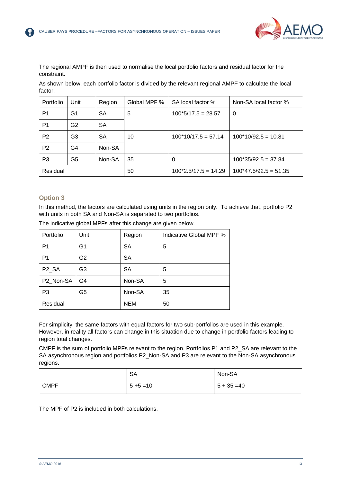

The regional AMPF is then used to normalise the local portfolio factors and residual factor for the constraint.

As shown below, each portfolio factor is divided by the relevant regional AMPF to calculate the local factor.

| Portfolio      | Unit           | Region | Global MPF % | SA local factor %      | Non-SA local factor %   |
|----------------|----------------|--------|--------------|------------------------|-------------------------|
| P1             | G1             | SА     | 5            | $100*5/17.5 = 28.57$   | $\Omega$                |
| P <sub>1</sub> | G <sub>2</sub> | SA     |              |                        |                         |
| P <sub>2</sub> | G3             | SA     | 10           | $100*10/17.5 = 57.14$  | $100*10/92.5 = 10.81$   |
| P <sub>2</sub> | G4             | Non-SA |              |                        |                         |
| P <sub>3</sub> | G5             | Non-SA | 35           | 0                      | $100*35/92.5 = 37.84$   |
| Residual       |                |        | 50           | $100*2.5/17.5 = 14.29$ | $100*47.5/92.5 = 51.35$ |

#### **Option 3**

In this method, the factors are calculated using units in the region only. To achieve that, portfolio P2 with units in both SA and Non-SA is separated to two portfolios.

| Portfolio          | Unit           | Region     | Indicative Global MPF % |
|--------------------|----------------|------------|-------------------------|
| P <sub>1</sub>     | G <sub>1</sub> | <b>SA</b>  | 5                       |
| P <sub>1</sub>     | G <sub>2</sub> | <b>SA</b>  |                         |
| P <sub>2_</sub> SA | G <sub>3</sub> | <b>SA</b>  | 5                       |
| P2_Non-SA          | G4             | Non-SA     | 5                       |
| P <sub>3</sub>     | G5             | Non-SA     | 35                      |
| Residual           |                | <b>NEM</b> | 50                      |

The indicative global MPFs after this change are given below.

For simplicity, the same factors with equal factors for two sub-portfolios are used in this example. However, in reality all factors can change in this situation due to change in portfolio factors leading to region total changes.

CMPF is the sum of portfolio MPFs relevant to the region. Portfolios P1 and P2\_SA are relevant to the SA asynchronous region and portfolios P2\_Non-SA and P3 are relevant to the Non-SA asynchronous regions.

|             | <b>SA</b>    | Non-SA        |
|-------------|--------------|---------------|
| <b>CMPF</b> | $5 + 5 = 10$ | $5 + 35 = 40$ |

The MPF of P2 is included in both calculations.